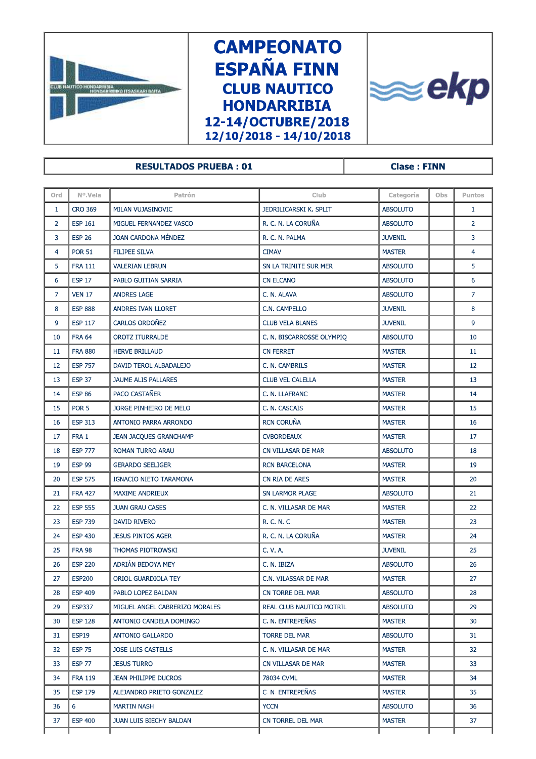

## **CAMPEONATO ESPAÑA FINN CLUB NAUTICO HONDARRIBIA** 12-14/OCTUBRE/2018 12/10/2018 - 14/10/2018



## **RESULTADOS PRUEBA: 01**

**Clase: FINN** 

| Ord               | Nº.Vela          | Patrón                         | Club                      | Categoría       | Obs | <b>Puntos</b>  |
|-------------------|------------------|--------------------------------|---------------------------|-----------------|-----|----------------|
| $\mathbf{1}$      | <b>CRO 369</b>   | MILAN VUJASINOVIC              | JEDRILICARSKI K. SPLIT    | <b>ABSOLUTO</b> |     | $\mathbf{1}$   |
| $\overline{2}$    | <b>ESP 161</b>   | MIGUEL FERNANDEZ VASCO         | R. C. N. LA CORUÑA        | <b>ABSOLUTO</b> |     | $\overline{2}$ |
| 3                 | <b>ESP 26</b>    | JOAN CARDONA MÉNDEZ            | R. C. N. PALMA            | <b>JUVENIL</b>  |     | 3              |
| 4                 | <b>POR 51</b>    | <b>FILIPEE SILVA</b>           | <b>CIMAV</b>              | <b>MASTER</b>   |     | $\overline{4}$ |
| 5                 | <b>FRA 111</b>   | <b>VALERIAN LEBRUN</b>         | SN LA TRINITE SUR MER     | <b>ABSOLUTO</b> |     | 5              |
| 6                 | <b>ESP 17</b>    | PABLO GUITIAN SARRIA           | <b>CN ELCANO</b>          | <b>ABSOLUTO</b> |     | 6              |
| $\overline{7}$    | <b>VEN 17</b>    | <b>ANDRES LAGE</b>             | C. N. ALAVA               | <b>ABSOLUTO</b> |     | $\overline{7}$ |
| 8                 | <b>ESP 888</b>   | ANDRES IVAN LLORET             | C.N. CAMPELLO             | <b>JUVENIL</b>  |     | 8              |
| 9                 | <b>ESP 117</b>   | CARLOS ORDOÑEZ                 | <b>CLUB VELA BLANES</b>   | <b>JUVENIL</b>  |     | 9              |
| 10                | <b>FRA 64</b>    | <b>OROTZ ITURRALDE</b>         | C. N. BISCARROSSE OLYMPIQ | <b>ABSOLUTO</b> |     | 10             |
| 11                | <b>FRA 880</b>   | <b>HERVE BRILLAUD</b>          | <b>CN FERRET</b>          | <b>MASTER</b>   |     | 11             |
| $12 \overline{ }$ | <b>ESP 757</b>   | DAVID TEROL ALBADALEJO         | C. N. CAMBRILS            | <b>MASTER</b>   |     | 12             |
| 13                | <b>ESP 37</b>    | JAUME ALIS PALLARES            | <b>CLUB VEL CALELLA</b>   | <b>MASTER</b>   |     | 13             |
| 14                | <b>ESP 86</b>    | PACO CASTAÑER                  | C. N. LLAFRANC            | <b>MASTER</b>   |     | 14             |
| 15                | POR <sub>5</sub> | JORGE PINHEIRO DE MELO         | C. N. CASCAIS             | <b>MASTER</b>   |     | 15             |
| 16                | <b>ESP 313</b>   | ANTONIO PARRA ARRONDO          | <b>RCN CORUÑA</b>         | <b>MASTER</b>   |     | 16             |
| 17                | FRA 1            | <b>JEAN JACQUES GRANCHAMP</b>  | <b>CVBORDEAUX</b>         | <b>MASTER</b>   |     | 17             |
| 18                | <b>ESP 777</b>   | ROMAN TURRO ARAU               | CN VILLASAR DE MAR        | <b>ABSOLUTO</b> |     | 18             |
| 19                | <b>ESP 99</b>    | <b>GERARDO SEELIGER</b>        | <b>RCN BARCELONA</b>      | <b>MASTER</b>   |     | 19             |
| 20                | <b>ESP 575</b>   | IGNACIO NIETO TARAMONA         | CN RIA DE ARES            | <b>MASTER</b>   |     | 20             |
| 21                | <b>FRA 427</b>   | MAXIME ANDRIEUX                | SN LARMOR PLAGE           | <b>ABSOLUTO</b> |     | 21             |
| 22                | <b>ESP 555</b>   | <b>JUAN GRAU CASES</b>         | C. N. VILLASAR DE MAR     | <b>MASTER</b>   |     | 22             |
| 23                | <b>ESP 739</b>   | <b>DAVID RIVERO</b>            | R. C. N. C.               | <b>MASTER</b>   |     | 23             |
| 24                | <b>ESP 430</b>   | <b>JESUS PINTOS AGER</b>       | R. C. N. LA CORUÑA        | <b>MASTER</b>   |     | 24             |
| 25                | <b>FRA 98</b>    | THOMAS PIOTROWSKI              | C. V. A.                  | <b>JUVENIL</b>  |     | 25             |
| 26                | <b>ESP 220</b>   | ADRIÁN BEDOYA MEY              | C. N. IBIZA               | <b>ABSOLUTO</b> |     | 26             |
| 27                | <b>ESP200</b>    | ORIOL GUARDIOLA TEY            | C.N. VILASSAR DE MAR      | <b>MASTER</b>   |     | 27             |
| 28                | <b>ESP 409</b>   | PABLO LOPEZ BALDAN             | CN TORRE DEL MAR          | <b>ABSOLUTO</b> |     | 28             |
| 29                | <b>ESP337</b>    | MIGUEL ANGEL CABRERIZO MORALES | REAL CLUB NAUTICO MOTRIL  | <b>ABSOLUTO</b> |     | 29             |
| 30                | <b>ESP 128</b>   | ANTONIO CANDELA DOMINGO        | C. N. ENTREPEÑAS          | <b>MASTER</b>   |     | 30             |
| 31                | <b>ESP19</b>     | <b>ANTONIO GALLARDO</b>        | <b>TORRE DEL MAR</b>      | <b>ABSOLUTO</b> |     | 31             |
| 32                | <b>ESP 75</b>    | <b>JOSE LUIS CASTELLS</b>      | C. N. VILLASAR DE MAR     | <b>MASTER</b>   |     | 32             |
| 33                | <b>ESP 77</b>    | <b>JESUS TURRO</b>             | CN VILLASAR DE MAR        | <b>MASTER</b>   |     | 33             |
| 34                | <b>FRA 119</b>   | JEAN PHILIPPE DUCROS           | 78034 CVML                | <b>MASTER</b>   |     | 34             |
| 35                | <b>ESP 179</b>   | ALEJANDRO PRIETO GONZALEZ      | C. N. ENTREPEÑAS          | <b>MASTER</b>   |     | 35             |
| 36                | 6                | MARTIN NASH                    | <b>YCCN</b>               | <b>ABSOLUTO</b> |     | 36             |
| 37                | <b>ESP 400</b>   | JUAN LUIS BIECHY BALDAN        | CN TORREL DEL MAR         | <b>MASTER</b>   |     | 37             |
|                   |                  |                                |                           |                 |     |                |